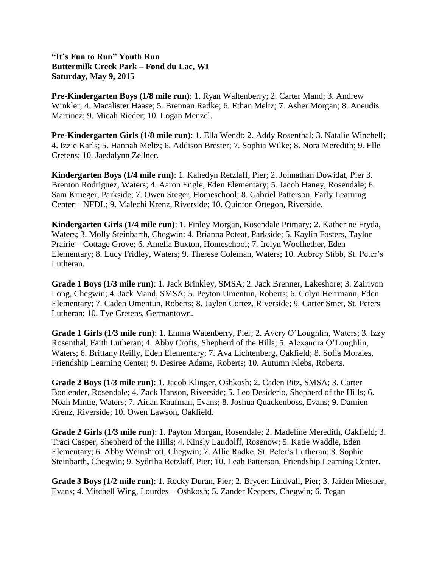**"It's Fun to Run" Youth Run Buttermilk Creek Park – Fond du Lac, WI Saturday, May 9, 2015**

**Pre-Kindergarten Boys (1/8 mile run)**: 1. Ryan Waltenberry; 2. Carter Mand; 3. Andrew Winkler; 4. Macalister Haase; 5. Brennan Radke; 6. Ethan Meltz; 7. Asher Morgan; 8. Aneudis Martinez; 9. Micah Rieder; 10. Logan Menzel.

**Pre-Kindergarten Girls (1/8 mile run)**: 1. Ella Wendt; 2. Addy Rosenthal; 3. Natalie Winchell; 4. Izzie Karls; 5. Hannah Meltz; 6. Addison Brester; 7. Sophia Wilke; 8. Nora Meredith; 9. Elle Cretens; 10. Jaedalynn Zellner.

**Kindergarten Boys (1/4 mile run)**: 1. Kahedyn Retzlaff, Pier; 2. Johnathan Dowidat, Pier 3. Brenton Rodriguez, Waters; 4. Aaron Engle, Eden Elementary; 5. Jacob Haney, Rosendale; 6. Sam Krueger, Parkside; 7. Owen Steger, Homeschool; 8. Gabriel Patterson, Early Learning Center – NFDL; 9. Malechi Krenz, Riverside; 10. Quinton Ortegon, Riverside.

**Kindergarten Girls (1/4 mile run)**: 1. Finley Morgan, Rosendale Primary; 2. Katherine Fryda, Waters; 3. Molly Steinbarth, Chegwin; 4. Brianna Poteat, Parkside; 5. Kaylin Fosters, Taylor Prairie – Cottage Grove; 6. Amelia Buxton, Homeschool; 7. Irelyn Woolhether, Eden Elementary; 8. Lucy Fridley, Waters; 9. Therese Coleman, Waters; 10. Aubrey Stibb, St. Peter's Lutheran.

**Grade 1 Boys (1/3 mile run)**: 1. Jack Brinkley, SMSA; 2. Jack Brenner, Lakeshore; 3. Zairiyon Long, Chegwin; 4. Jack Mand, SMSA; 5. Peyton Umentun, Roberts; 6. Colyn Herrmann, Eden Elementary; 7. Caden Umentun, Roberts; 8. Jaylen Cortez, Riverside; 9. Carter Smet, St. Peters Lutheran; 10. Tye Cretens, Germantown.

**Grade 1 Girls (1/3 mile run)**: 1. Emma Watenberry, Pier; 2. Avery O'Loughlin, Waters; 3. Izzy Rosenthal, Faith Lutheran; 4. Abby Crofts, Shepherd of the Hills; 5. Alexandra O'Loughlin, Waters; 6. Brittany Reilly, Eden Elementary; 7. Ava Lichtenberg, Oakfield; 8. Sofia Morales, Friendship Learning Center; 9. Desiree Adams, Roberts; 10. Autumn Klebs, Roberts.

**Grade 2 Boys (1/3 mile run)**: 1. Jacob Klinger, Oshkosh; 2. Caden Pitz, SMSA; 3. Carter Bonlender, Rosendale; 4. Zack Hanson, Riverside; 5. Leo Desiderio, Shepherd of the Hills; 6. Noah Mintie, Waters; 7. Aidan Kaufman, Evans; 8. Joshua Quackenboss, Evans; 9. Damien Krenz, Riverside; 10. Owen Lawson, Oakfield.

**Grade 2 Girls (1/3 mile run)**: 1. Payton Morgan, Rosendale; 2. Madeline Meredith, Oakfield; 3. Traci Casper, Shepherd of the Hills; 4. Kinsly Laudolff, Rosenow; 5. Katie Waddle, Eden Elementary; 6. Abby Weinshrott, Chegwin; 7. Allie Radke, St. Peter's Lutheran; 8. Sophie Steinbarth, Chegwin; 9. Sydriha Retzlaff, Pier; 10. Leah Patterson, Friendship Learning Center.

**Grade 3 Boys (1/2 mile run)**: 1. Rocky Duran, Pier; 2. Brycen Lindvall, Pier; 3. Jaiden Miesner, Evans; 4. Mitchell Wing, Lourdes – Oshkosh; 5. Zander Keepers, Chegwin; 6. Tegan